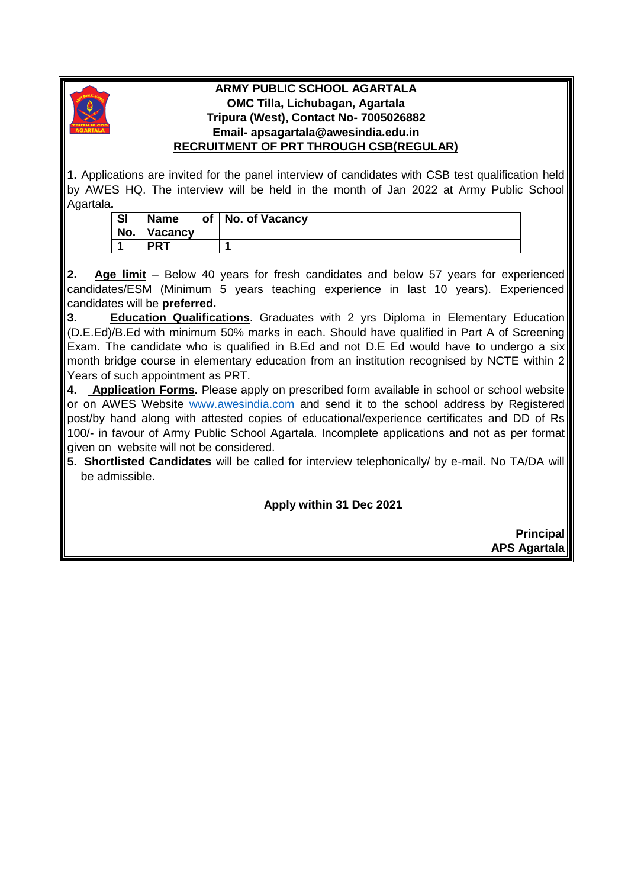

### **ARMY PUBLIC SCHOOL AGARTALA OMC Tilla, Lichubagan, Agartala Tripura (West), Contact No- 7005026882 Email- apsagartala@awesindia.edu.in RECRUITMENT OF PRT THROUGH CSB(REGULAR)**

**1.** Applications are invited for the panel interview of candidates with CSB test qualification held by AWES HQ. The interview will be held in the month of Jan 2022 at Army Public School Agartala**.**

| $\vert$ SI | <b>Name</b><br>No.   Vacancy | of   No. of Vacancy |
|------------|------------------------------|---------------------|
|            | <b>PRT</b>                   |                     |

**2. Age limit** – Below 40 years for fresh candidates and below 57 years for experienced candidates/ESM (Minimum 5 years teaching experience in last 10 years). Experienced candidates will be **preferred.** 

**3. Education Qualifications**. Graduates with 2 yrs Diploma in Elementary Education (D.E.Ed)/B.Ed with minimum 50% marks in each. Should have qualified in Part A of Screening Exam. The candidate who is qualified in B.Ed and not D.E Ed would have to undergo a six month bridge course in elementary education from an institution recognised by NCTE within 2 Years of such appointment as PRT.

**4. Application Forms.** Please apply on prescribed form available in school or school website or on AWES Website [www.awesindia.com](http://www.awesindia.com/) and send it to the school address by Registered post/by hand along with attested copies of educational/experience certificates and DD of Rs 100/- in favour of Army Public School Agartala. Incomplete applications and not as per format given on website will not be considered.

**5. Shortlisted Candidates** will be called for interview telephonically/ by e-mail. No TA/DA will be admissible.

 **Apply within 31 Dec 2021**

 **Principal APS Agartala**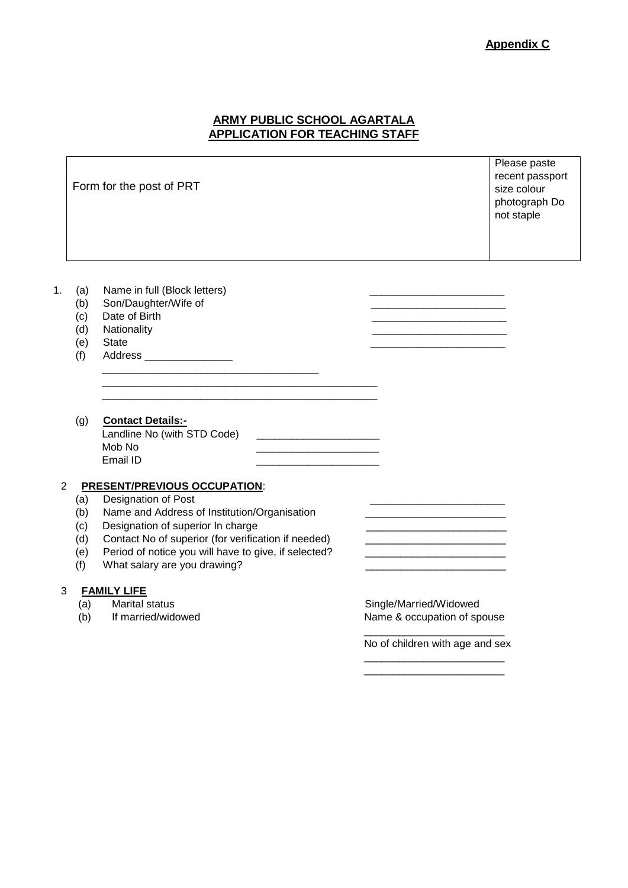### **ARMY PUBLIC SCHOOL AGARTALA APPLICATION FOR TEACHING STAFF**

|                |                                        | Form for the post of PRT                                                                                                                                                                                                                                                                       |                                                       | Please paste<br>recent passport<br>size colour<br>photograph Do<br>not staple |
|----------------|----------------------------------------|------------------------------------------------------------------------------------------------------------------------------------------------------------------------------------------------------------------------------------------------------------------------------------------------|-------------------------------------------------------|-------------------------------------------------------------------------------|
| 1.             | (a)<br>(b)<br>(c)<br>(d)<br>(e)<br>(f) | Name in full (Block letters)<br>Son/Daughter/Wife of<br>Date of Birth<br>Nationality<br><b>State</b><br>Address __________________                                                                                                                                                             |                                                       |                                                                               |
|                | (g)                                    | <b>Contact Details:-</b><br>Landline No (with STD Code)<br>Mob No<br>Email ID                                                                                                                                                                                                                  |                                                       |                                                                               |
| $\overline{2}$ | (a)<br>(b)<br>(c)<br>(d)<br>(e)<br>(f) | <b>PRESENT/PREVIOUS OCCUPATION:</b><br>Designation of Post<br>Name and Address of Institution/Organisation<br>Designation of superior In charge<br>Contact No of superior (for verification if needed)<br>Period of notice you will have to give, if selected?<br>What salary are you drawing? |                                                       |                                                                               |
| 3              | (a)<br>(b)                             | <b>FAMILY LIFE</b><br><b>Marital status</b><br>If married/widowed                                                                                                                                                                                                                              | Single/Married/Widowed<br>Name & occupation of spouse |                                                                               |
|                |                                        |                                                                                                                                                                                                                                                                                                | No of children with age and sex                       |                                                                               |
|                |                                        |                                                                                                                                                                                                                                                                                                |                                                       |                                                                               |

\_\_\_\_\_\_\_\_\_\_\_\_\_\_\_\_\_\_\_\_\_\_\_\_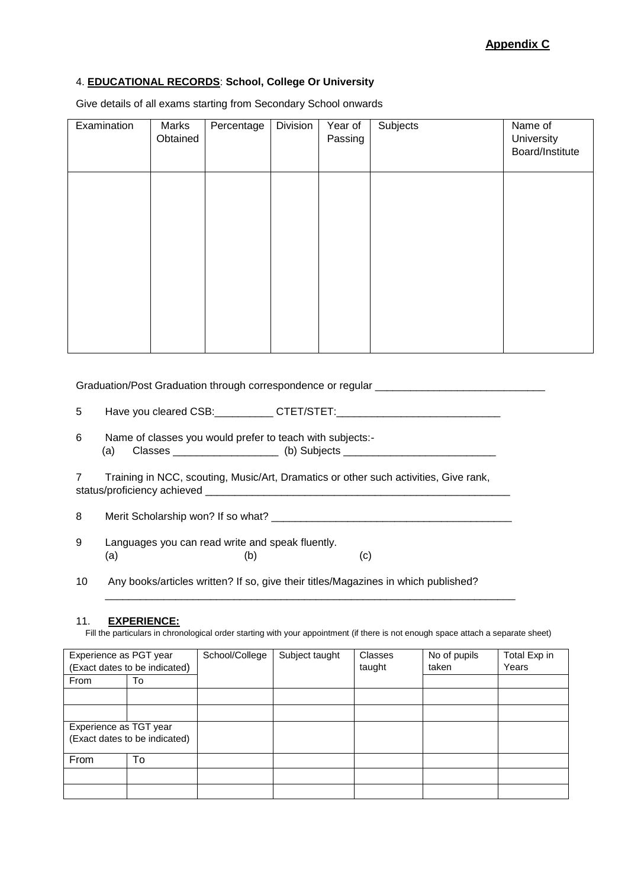# **Appendix C**

#### 4. **EDUCATIONAL RECORDS**: **School, College Or University**

Give details of all exams starting from Secondary School onwards

| Examination | Marks<br>Obtained | Percentage | <b>Division</b> | Year of<br>Passing | Subjects | Name of<br>University<br>Board/Institute |
|-------------|-------------------|------------|-----------------|--------------------|----------|------------------------------------------|
|             |                   |            |                 |                    |          |                                          |
|             |                   |            |                 |                    |          |                                          |
|             |                   |            |                 |                    |          |                                          |
|             |                   |            |                 |                    |          |                                          |

Graduation/Post Graduation through correspondence or regular \_\_\_\_\_\_\_\_\_\_\_\_\_\_\_\_\_\_\_

5 Have you cleared CSB: CTET/STET:

6 Name of classes you would prefer to teach with subjects:- (a) Classes \_\_\_\_\_\_\_\_\_\_\_\_\_\_\_\_\_\_\_\_ (b) Subjects \_\_\_\_\_\_\_\_\_\_\_\_\_\_\_\_\_\_\_\_\_\_\_\_\_\_\_\_\_\_\_\_\_\_

7 Training in NCC, scouting, Music/Art, Dramatics or other such activities, Give rank, status/proficiency achieved \_\_\_\_\_\_\_\_\_\_\_\_\_\_\_\_\_\_\_\_\_\_\_\_\_\_\_\_\_\_\_\_\_\_\_\_\_\_\_\_\_\_\_\_\_\_\_\_\_\_\_\_

8 Merit Scholarship won? If so what? \_\_\_\_\_\_\_\_\_\_\_\_\_\_\_\_\_\_\_\_\_\_\_\_\_\_\_\_\_\_\_\_\_\_\_\_\_\_\_\_\_

- 9 Languages you can read write and speak fluently. (a)  $(b)$  (c)
- 10 Any books/articles written? If so, give their titles/Magazines in which published?

 $\overline{\phantom{a}}$  ,  $\overline{\phantom{a}}$  ,  $\overline{\phantom{a}}$  ,  $\overline{\phantom{a}}$  ,  $\overline{\phantom{a}}$  ,  $\overline{\phantom{a}}$  ,  $\overline{\phantom{a}}$  ,  $\overline{\phantom{a}}$  ,  $\overline{\phantom{a}}$  ,  $\overline{\phantom{a}}$  ,  $\overline{\phantom{a}}$  ,  $\overline{\phantom{a}}$  ,  $\overline{\phantom{a}}$  ,  $\overline{\phantom{a}}$  ,  $\overline{\phantom{a}}$  ,  $\overline{\phantom{a}}$ 

#### 11. **EXPERIENCE:**

Fill the particulars in chronological order starting with your appointment (if there is not enough space attach a separate sheet)

| Experience as PGT year<br>(Exact dates to be indicated) |    | School/College | Subject taught | Classes<br>taught | No of pupils<br>taken | Total Exp in<br>Years |
|---------------------------------------------------------|----|----------------|----------------|-------------------|-----------------------|-----------------------|
| From                                                    | To |                |                |                   |                       |                       |
|                                                         |    |                |                |                   |                       |                       |
|                                                         |    |                |                |                   |                       |                       |
| Experience as TGT year<br>(Exact dates to be indicated) |    |                |                |                   |                       |                       |
| From                                                    | To |                |                |                   |                       |                       |
|                                                         |    |                |                |                   |                       |                       |
|                                                         |    |                |                |                   |                       |                       |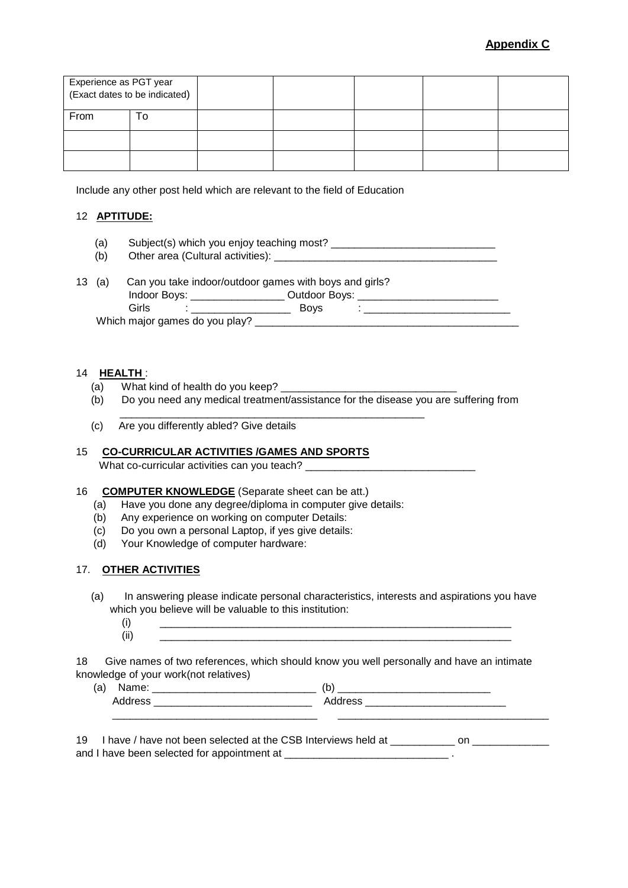| Experience as PGT year<br>(Exact dates to be indicated) |    |  |  |  |
|---------------------------------------------------------|----|--|--|--|
| From                                                    | 10 |  |  |  |
|                                                         |    |  |  |  |
|                                                         |    |  |  |  |

Include any other post held which are relevant to the field of Education

#### 12 **APTITUDE:**

- (a) Subject(s) which you enjoy teaching most? \_\_\_\_\_\_\_\_\_\_\_\_\_\_\_\_\_\_\_\_\_\_\_\_\_\_\_\_\_\_\_\_\_\_
- (b) Other area (Cultural activities): \_\_\_\_\_\_\_\_\_\_\_\_\_\_\_\_\_\_\_\_\_\_\_\_\_\_\_\_\_\_\_\_\_\_\_\_\_\_

| 13 (a)<br>Can you take indoor/outdoor games with boys and girls? |  |       |                                |                  |  |
|------------------------------------------------------------------|--|-------|--------------------------------|------------------|--|
|                                                                  |  |       | Indoor Boys: $\sqrt{ }$        | Outdoor Boys: __ |  |
|                                                                  |  | Girls |                                | <b>Bovs</b>      |  |
|                                                                  |  |       | Which major games do you play? |                  |  |

#### 14 **HEALTH** :

- (a) What kind of health do you keep?
- (b) Do you need any medical treatment/assistance for the disease you are suffering from
- (c) Are you differently abled? Give details

## 15 **CO-CURRICULAR ACTIVITIES /GAMES AND SPORTS**

What co-curricular activities can you teach? \_\_\_\_\_\_\_\_\_\_\_\_\_\_\_\_\_\_\_\_\_\_\_\_\_\_\_\_\_\_\_\_\_\_\_

#### 16 **COMPUTER KNOWLEDGE** (Separate sheet can be att.)

(a) Have you done any degree/diploma in computer give details:

\_\_\_\_\_\_\_\_\_\_\_\_\_\_\_\_\_\_\_\_\_\_\_\_\_\_\_\_\_\_\_\_\_\_\_\_\_\_\_\_\_\_\_\_\_\_\_\_\_\_\_\_

- (b) Any experience on working on computer Details:
- (c) Do you own a personal Laptop, if yes give details:
- (d) Your Knowledge of computer hardware:

#### 17. **OTHER ACTIVITIES**

- (a) In answering please indicate personal characteristics, interests and aspirations you have which you believe will be valuable to this institution:
	- (i) \_\_\_\_\_\_\_\_\_\_\_\_\_\_\_\_\_\_\_\_\_\_\_\_\_\_\_\_\_\_\_\_\_\_\_\_\_\_\_\_\_\_\_\_\_\_\_\_\_\_\_\_\_\_\_\_\_\_\_\_ (ii) \_\_\_\_\_\_\_\_\_\_\_\_\_\_\_\_\_\_\_\_\_\_\_\_\_\_\_\_\_\_\_\_\_\_\_\_\_\_\_\_\_\_\_\_\_\_\_\_\_\_\_\_\_\_\_\_\_\_\_\_

18 Give names of two references, which should know you well personally and have an intimate knowledge of your work(not relatives)

| (a) |       | ັ   |
|-----|-------|-----|
|     | l God | סט- |
|     |       |     |

| 19 I have / have not been selected at the CSB Interviews held at |  |
|------------------------------------------------------------------|--|
| and I have been selected for appointment at                      |  |